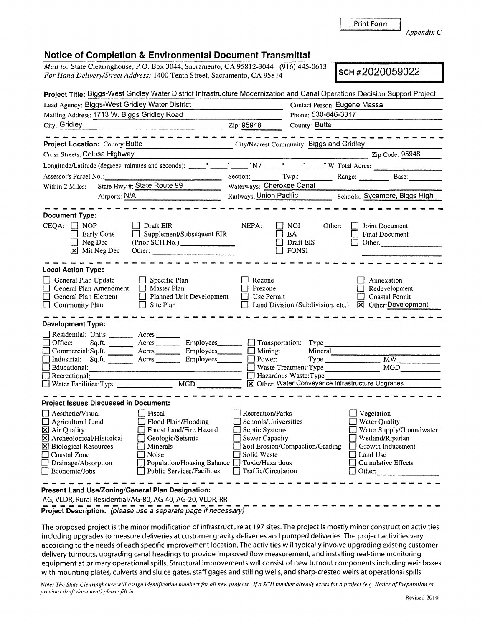**j** Print Form

*Appendix C* 

## **Notice of Completion & Environmental Document Transmittal**

*Mail to:* State Clearinghouse, P.O. Box 3044, Sacramento, CA 95812-3044 (916) 445-0613 *For Hand Delivery/Street Address:* 1400 Tenth Street, Sacramento, CA 95814 (910) 445-0613 **SCH # 2020059022 SCH # 2020059022** 

|                                                                                                                                                                                                            |                                                                                                                                                                              |                                                                                                                                                     |                                                   | Project Title: Biggs-West Gridley Water District Infrastructure Modernization and Canal Operations Decision Support Project                                                                                                                                        |  |
|------------------------------------------------------------------------------------------------------------------------------------------------------------------------------------------------------------|------------------------------------------------------------------------------------------------------------------------------------------------------------------------------|-----------------------------------------------------------------------------------------------------------------------------------------------------|---------------------------------------------------|--------------------------------------------------------------------------------------------------------------------------------------------------------------------------------------------------------------------------------------------------------------------|--|
| Lead Agency: Biggs-West Gridley Water District                                                                                                                                                             | Contact Person: Eugene Massa                                                                                                                                                 |                                                                                                                                                     |                                                   |                                                                                                                                                                                                                                                                    |  |
| Mailing Address: 1713 W. Biggs Gridley Road                                                                                                                                                                | Phone: 530-846-3317                                                                                                                                                          |                                                                                                                                                     |                                                   |                                                                                                                                                                                                                                                                    |  |
| City: Gridley Zip: 95948                                                                                                                                                                                   |                                                                                                                                                                              |                                                                                                                                                     | County: Butte                                     |                                                                                                                                                                                                                                                                    |  |
|                                                                                                                                                                                                            |                                                                                                                                                                              |                                                                                                                                                     |                                                   |                                                                                                                                                                                                                                                                    |  |
| <b>Project Location: County: Butte</b>                                                                                                                                                                     | City/Nearest Community: Biggs and Gridley                                                                                                                                    |                                                                                                                                                     |                                                   |                                                                                                                                                                                                                                                                    |  |
|                                                                                                                                                                                                            |                                                                                                                                                                              |                                                                                                                                                     |                                                   |                                                                                                                                                                                                                                                                    |  |
|                                                                                                                                                                                                            |                                                                                                                                                                              |                                                                                                                                                     |                                                   |                                                                                                                                                                                                                                                                    |  |
| Assessor's Parcel No.:                                                                                                                                                                                     |                                                                                                                                                                              |                                                                                                                                                     |                                                   | Section: Twp.: Range: Base:                                                                                                                                                                                                                                        |  |
| State Hwy #: State Route 99<br>Within 2 Miles:                                                                                                                                                             |                                                                                                                                                                              | Waterways: Cherokee Canal                                                                                                                           |                                                   |                                                                                                                                                                                                                                                                    |  |
| Airports: N/A                                                                                                                                                                                              |                                                                                                                                                                              | Railways: Union Pacific Schools: Sycamore, Biggs High                                                                                               |                                                   |                                                                                                                                                                                                                                                                    |  |
|                                                                                                                                                                                                            |                                                                                                                                                                              |                                                                                                                                                     |                                                   |                                                                                                                                                                                                                                                                    |  |
| <b>Document Type:</b>                                                                                                                                                                                      |                                                                                                                                                                              |                                                                                                                                                     |                                                   |                                                                                                                                                                                                                                                                    |  |
| $CEQA: \Box NP$<br><b>Early Cons</b><br>$\Box$ Neg Dec<br>X Mit Neg Dec                                                                                                                                    | $\Box$ Draft EIR<br>$\Box$ Supplement/Subsequent EIR<br>(Prior SCH No.)                                                                                                      | NEPA:                                                                                                                                               | NOI<br>Other:<br>EA<br>Draft EIS<br>$\Box$ FONSI  | Joint Document<br>Final Document<br>Other: and the contract of the contract of the contract of the contract of the contract of the contract of the contract of the contract of the contract of the contract of the contract of the contract of the contract of the |  |
| <b>Local Action Type:</b>                                                                                                                                                                                  |                                                                                                                                                                              |                                                                                                                                                     |                                                   |                                                                                                                                                                                                                                                                    |  |
| General Plan Update<br>General Plan Amendment<br>General Plan Element<br>Community Plan                                                                                                                    | $\Box$ Specific Plan<br>$\Box$ Master Plan<br>$\Box$ Planned Unit Development<br>$\Box$ Site Plan                                                                            | Rezone<br>Prezone<br>Use Permit                                                                                                                     |                                                   | Annexation<br>Redevelopment<br><b>Coastal Permit</b><br>Land Division (Subdivision, etc.) [X] Other: Development                                                                                                                                                   |  |
| <b>Development Type:</b><br>Residential: Units ________ Acres _______<br>Office:                                                                                                                           | Sq.ft. __________ Acres ___________ Employees ________ ___ Transportation: Type ___________________                                                                          | $\Box$ Mining:                                                                                                                                      |                                                   |                                                                                                                                                                                                                                                                    |  |
| Industrial: Sq.ft. ________ Acres _______                                                                                                                                                                  | Commercial:Sq.ft. <u>Acres</u> Acres Employees<br>Employees_______                                                                                                           | $\Box$ Power:                                                                                                                                       | Mineral                                           | Type MW MW                                                                                                                                                                                                                                                         |  |
|                                                                                                                                                                                                            |                                                                                                                                                                              |                                                                                                                                                     |                                                   |                                                                                                                                                                                                                                                                    |  |
| □<br>Recreational:                                                                                                                                                                                         | MGD                                                                                                                                                                          |                                                                                                                                                     | Hazardous Waste: Type                             |                                                                                                                                                                                                                                                                    |  |
| Water Facilities: Type                                                                                                                                                                                     |                                                                                                                                                                              |                                                                                                                                                     | X Other: Water Conveyance Infrastructure Upgrades |                                                                                                                                                                                                                                                                    |  |
| <b>Project Issues Discussed in Document:</b>                                                                                                                                                               |                                                                                                                                                                              |                                                                                                                                                     |                                                   |                                                                                                                                                                                                                                                                    |  |
| $\Box$ Aesthetic/Visual<br>$\Box$ Agricultural Land<br>X Air Quality<br>X Archeological/Historical<br>$ \mathbf{X} $ Biological Resources<br>□ Coastal Zone<br>$\Box$ Drainage/Absorption<br>Economic/Jobs | $\Box$ Fiscal<br>Flood Plain/Flooding<br>Forest Land/Fire Hazard<br>Geologic/Seismic<br>Minerals<br>Noise<br>Population/Housing Balance<br><b>Public Services/Facilities</b> | Recreation/Parks<br>Schools/Universities<br>$\Box$ Septic Systems<br>$\Box$ Sewer Capacity<br>Solid Waste<br>Toxic/Hazardous<br>Traffic/Circulation | Soil Erosion/Compaction/Grading                   | Vegetation<br>Water Quality<br>Water Supply/Groundwater<br>Wetland/Riparian<br>J Growth Inducement<br>Land Use<br><b>Cumulative Effects</b><br>Other:                                                                                                              |  |
| Present Land Use/Zoning/General Plan Designation:<br>AG, VLDR, Rural Residential/AG-80, AG-40, AG-20, VLDR, RR                                                                                             |                                                                                                                                                                              |                                                                                                                                                     |                                                   |                                                                                                                                                                                                                                                                    |  |
| Project Description: (please use a separate page if necessary)                                                                                                                                             |                                                                                                                                                                              |                                                                                                                                                     |                                                   |                                                                                                                                                                                                                                                                    |  |

The proposed project is the minor modification of infrastructure at 197 sites. The project is mostly minor construction activities including upgrades to measure deliveries at customer gravity deliveries and pumped deliveries. The project activities vary according to the needs of each specific improvement location. The activities will typically involve upgrading existing customer delivery turnouts, upgrading canal headings to provide improved flow measurement, and installing real-time monitoring equipment at primary operational spills. Structural improvements will consist of new turnout components including weir boxes with mounting plates, culverts and sluice gates, staff gages and stilling wells, and sharp-crested weirs at operational spills.

*Note: The State Clearinghouse will assign identification numbers for all new projects. If a SCH number already exists for a project ( e.g. Notice of Preparation or previous draft document) please fill in.*